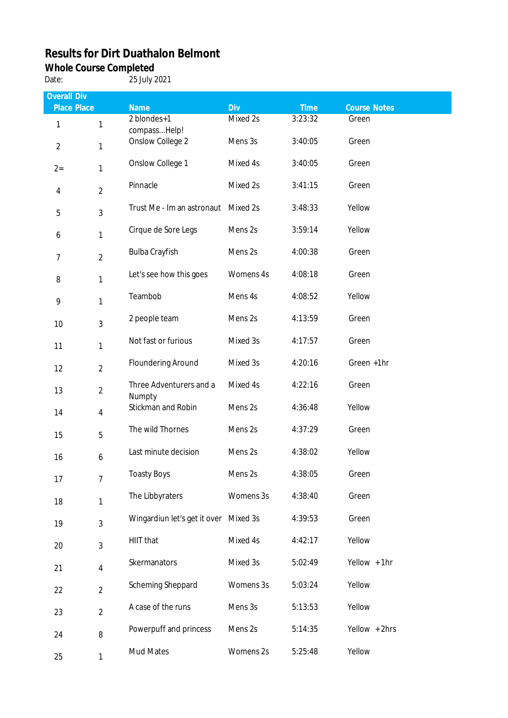## **Results for Dirt Duathalon Belmont**

## **Whole Course Completed**

Date: 25 July 2021

| <b>Overall Div</b> |                |                                       |           |             |                     |
|--------------------|----------------|---------------------------------------|-----------|-------------|---------------------|
| <b>Place Place</b> |                | Name                                  | Div       | <b>Time</b> | <b>Course Notes</b> |
| 1                  | 1              | 2 blondes+1<br>compass Help!          | Mixed 2s  | 3:23:32     | Green               |
| $\overline{2}$     | 1              | Onslow College 2                      | Mens 3s   | 3:40:05     | Green               |
| $2 =$              | 1              | Onslow College 1                      | Mixed 4s  | 3:40:05     | Green               |
| 4                  | $\overline{2}$ | Pinnacle                              | Mixed 2s  | 3:41:15     | Green               |
| 5                  | $\mathfrak{Z}$ | Trust Me - Im an astronaut            | Mixed 2s  | 3:48:33     | Yellow              |
| 6                  | 1              | Cirque de Sore Legs                   | Mens 2s   | 3:59:14     | Yellow              |
| $\overline{7}$     | $\overline{2}$ | <b>Bulba Crayfish</b>                 | Mens 2s   | 4:00:38     | Green               |
| 8                  | 1              | Let's see how this goes               | Womens 4s | 4:08:18     | Green               |
| 9                  | 1              | Teambob                               | Mens 4s   | 4:08:52     | Yellow              |
| 10                 | 3              | 2 people team                         | Mens 2s   | 4:13:59     | Green               |
| 11                 | 1              | Not fast or furious                   | Mixed 3s  | 4:17:57     | Green               |
| 12                 | $\overline{2}$ | <b>Floundering Around</b>             | Mixed 3s  | 4:20:16     | Green +1hr          |
| 13                 | $\overline{2}$ | Three Adventurers and a<br>Numpty     | Mixed 4s  | 4:22:16     | Green               |
| 14                 | $\overline{4}$ | Stickman and Robin                    | Mens 2s   | 4:36:48     | Yellow              |
| 15                 | 5              | The wild Thornes                      | Mens 2s   | 4:37:29     | Green               |
| 16                 | 6              | Last minute decision                  | Mens 2s   | 4:38:02     | Yellow              |
| 17                 | $\overline{7}$ | <b>Toasty Boys</b>                    | Mens 2s   | 4:38:05     | Green               |
| 18                 | 1              | The Libbyraters                       | Womens 3s | 4:38:40     | Green               |
| 19                 | 3              | Wingardiun let's get it over Mixed 3s |           | 4:39:53     | Green               |
| 20                 | 3              | HIIT that                             | Mixed 4s  | 4:42:17     | Yellow              |
| 21                 | $\overline{4}$ | Skermanators                          | Mixed 3s  | 5:02:49     | Yellow + 1hr        |
| 22                 | $\overline{2}$ | Scheming Sheppard                     | Womens 3s | 5:03:24     | Yellow              |
| 23                 | $\overline{2}$ | A case of the runs                    | Mens 3s   | 5:13:53     | Yellow              |
| 24                 | 8              | Powerpuff and princess                | Mens 2s   | 5:14:35     | Yellow + 2hrs       |
| 25                 | $\mathbf{1}$   | Mud Mates                             | Womens 2s | 5:25:48     | Yellow              |